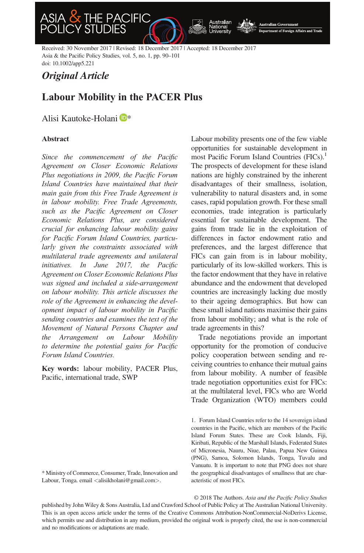

Received: 30 November 2017 | Revised: 18 December 2017 | Accepted: 18 December 2017 Asia & the Pacific Policy Studies, vol. 5, no. 1, pp. 90–101 doi: 10.1002/app5.221

# $\sigma$

## Labour Mobility in the PACER Plus

Alisi Kautoke-Holani <sup>D\*</sup>

### Abstract

Since the commencement of the Pacific Agreement on Closer Economic Relations Plus negotiations in 2009, the Pacific Forum Island Countries have maintained that their main gain from this Free Trade Agreement is in labour mobility. Free Trade Agreements, such as the Pacific Agreement on Closer Economic Relations Plus, are considered crucial for enhancing labour mobility gains for Pacific Forum Island Countries, particularly given the constraints associated with multilateral trade agreements and unilateral initiatives. In June 2017, the Pacific Agreement on Closer Economic Relations Plus was signed and included a side-arrangement on labour mobility. This article discusses the role of the Agreement in enhancing the development impact of labour mobility in Pacific sending countries and examines the text of the Movement of Natural Persons Chapter and the Arrangement on Labour Mobility to determine the potential gains for Pacific Forum Island Countries.

Key words: labour mobility, PACER Plus, Pacific, international trade, SWP

Labour mobility presents one of the few viable opportunities for sustainable development in most Pacific Forum Island Countries (FICs).<sup>1</sup> The prospects of development for these island nations are highly constrained by the inherent disadvantages of their smallness, isolation, vulnerability to natural disasters and, in some cases, rapid population growth. For these small economies, trade integration is particularly essential for sustainable development. The gains from trade lie in the exploitation of differences in factor endowment ratio and preferences, and the largest difference that FICs can gain from is in labour mobility, particularly of its low-skilled workers. This is the factor endowment that they have in relative abundance and the endowment that developed countries are increasingly lacking due mostly to their ageing demographics. But how can these small island nations maximise their gains from labour mobility; and what is the role of trade agreements in this?

Trade negotiations provide an important opportunity for the promotion of conducive policy cooperation between sending and receiving countries to enhance their mutual gains from labour mobility. A number of feasible trade negotiation opportunities exist for FICs: at the multilateral level, FICs who are World Trade Organization (WTO) members could

1. Forum Island Countries refer to the 14 sovereign island countries in the Pacific, which are members of the Pacific Island Forum States. These are Cook Islands, Fiji, Kiribati, Republic of the Marshall Islands, Federated States of Micronesia, Nauru, Niue, Palau, Papua New Guinea (PNG), Samoa, Solomon Islands, Tonga, Tuvalu and Vanuatu. It is important to note that PNG does not share the geographical disadvantages of smallness that are characteristic of most FICs.

\* Ministry of Commerce, Consumer, Trade, Innovation and Labour, Tonga. email <alisikholani@gmail.com>.

© 2018 The Authors. Asia and the Pacific Policy Studies

published by John Wiley & Sons Australia, Ltd and Crawford School of Public Policy at The Australian National University. This is an open access article under the terms of the [Creative Commons Attribution-NonCommercial-NoDerivs](http://creativecommons.org/licenses/by-nc-nd/4.0/) License, which permits use and distribution in any medium, provided the original work is properly cited, the use is non-commercial and no modifications or adaptations are made.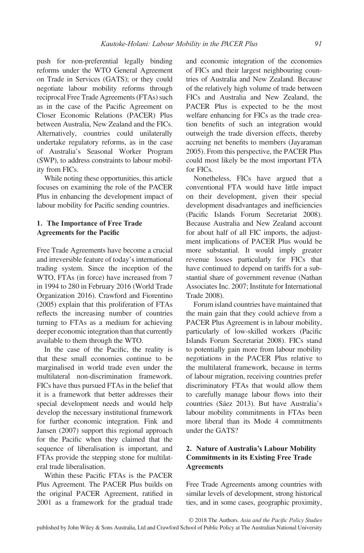push for non-preferential legally binding reforms under the WTO General Agreement on Trade in Services (GATS); or they could negotiate labour mobility reforms through reciprocal Free Trade Agreements (FTAs) such as in the case of the Pacific Agreement on Closer Economic Relations (PACER) Plus between Australia, New Zealand and the FICs. Alternatively, countries could unilaterally undertake regulatory reforms, as in the case of Australia's Seasonal Worker Program (SWP), to address constraints to labour mobility from FICs.

While noting these opportunities, this article focuses on examining the role of the PACER Plus in enhancing the development impact of labour mobility for Pacific sending countries.

#### 1. The Importance of Free Trade Agreements for the Pacific

Free Trade Agreements have become a crucial and irreversible feature of today's international trading system. Since the inception of the WTO, FTAs (in force) have increased from 7 in 1994 to 280 in February 2016 (World Trade Organization 2016). Crawford and Fiorentino (2005) explain that this proliferation of FTAs reflects the increasing number of countries turning to FTAs as a medium for achieving deeper economic integration than that currently available to them through the WTO.

In the case of the Pacific, the reality is that these small economies continue to be marginalised in world trade even under the multilateral non-discrimination framework. FICs have thus pursued FTAs in the belief that it is a framework that better addresses their special development needs and would help develop the necessary institutional framework for further economic integration. Fink and Jansen (2007) support this regional approach for the Pacific when they claimed that the sequence of liberalisation is important, and FTAs provide the stepping stone for multilateral trade liberalisation.

Within these Pacific FTAs is the PACER Plus Agreement. The PACER Plus builds on the original PACER Agreement, ratified in 2001 as a framework for the gradual trade

and economic integration of the economies of FICs and their largest neighbouring countries of Australia and New Zealand. Because of the relatively high volume of trade between FICs and Australia and New Zealand, the PACER Plus is expected to be the most welfare enhancing for FICs as the trade creation benefits of such an integration would outweigh the trade diversion effects, thereby accruing net benefits to members (Jayaraman 2005). From this perspective, the PACER Plus could most likely be the most important FTA for FICs.

Nonetheless, FICs have argued that a conventional FTA would have little impact on their development, given their special development disadvantages and inefficiencies (Pacific Islands Forum Secretariat 2008). Because Australia and New Zealand account for about half of all FIC imports, the adjustment implications of PACER Plus would be more substantial. It would imply greater revenue losses particularly for FICs that have continued to depend on tariffs for a substantial share of government revenue (Nathan Associates Inc. 2007; Institute for International Trade 2008).

Forum island countries have maintained that the main gain that they could achieve from a PACER Plus Agreement is in labour mobility, particularly of low-skilled workers (Pacific Islands Forum Secretariat 2008). FICs stand to potentially gain more from labour mobility negotiations in the PACER Plus relative to the multilateral framework, because in terms of labour migration, receiving countries prefer discriminatory FTAs that would allow them to carefully manage labour flows into their countries (Sáez 2013). But have Australia's labour mobility commitments in FTAs been more liberal than its Mode 4 commitments under the GATS?

#### 2. Nature of Australia's Labour Mobility Commitments in its Existing Free Trade Agreements

Free Trade Agreements among countries with similar levels of development, strong historical ties, and in some cases, geographic proximity,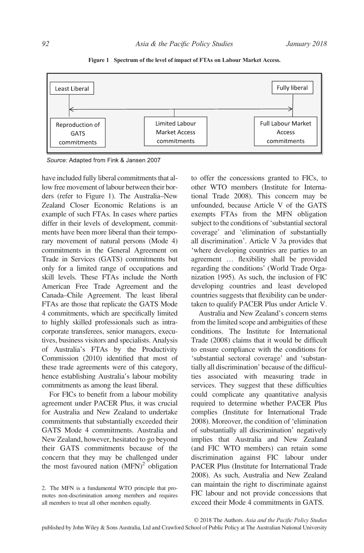

Figure 1 Spectrum of the level of impact of FTAs on Labour Market Access.

Source: Adapted from Fink & Jansen 2007

have included fully liberal commitments that allow free movement of labour between their borders (refer to Figure 1). The Australia–New Zealand Closer Economic Relations is an example of such FTAs. In cases where parties differ in their levels of development, commitments have been more liberal than their temporary movement of natural persons (Mode 4) commitments in the General Agreement on Trade in Services (GATS) commitments but only for a limited range of occupations and skill levels. These FTAs include the North American Free Trade Agreement and the Canada–Chile Agreement. The least liberal FTAs are those that replicate the GATS Mode 4 commitments, which are specifically limited to highly skilled professionals such as intracorporate transferees, senior managers, executives, business visitors and specialists. Analysis of Australia's FTAs by the Productivity Commission (2010) identified that most of these trade agreements were of this category, hence establishing Australia's labour mobility commitments as among the least liberal.

For FICs to benefit from a labour mobility agreement under PACER Plus, it was crucial for Australia and New Zealand to undertake commitments that substantially exceeded their GATS Mode 4 commitments. Australia and New Zealand, however, hesitated to go beyond their GATS commitments because of the concern that they may be challenged under the most favoured nation  $(MFN)^2$  obligation

to offer the concessions granted to FICs, to other WTO members (Institute for International Trade 2008). This concern may be unfounded, because Article V of the GATS exempts FTAs from the MFN obligation subject to the conditions of 'substantial sectoral coverage' and 'elimination of substantially all discrimination'. Article V 3a provides that 'where developing countries are parties to an agreement … flexibility shall be provided regarding the conditions' (World Trade Organization 1995). As such, the inclusion of FIC developing countries and least developed countries suggests that flexibility can be undertaken to qualify PACER Plus under Article V.

Australia and New Zealand's concern stems from the limited scope and ambiguities of these conditions. The Institute for International Trade (2008) claims that it would be difficult to ensure compliance with the conditions for 'substantial sectoral coverage' and 'substantially all discrimination' because of the difficulties associated with measuring trade in services. They suggest that these difficulties could complicate any quantitative analysis required to determine whether PACER Plus complies (Institute for International Trade 2008). Moreover, the condition of 'elimination of substantially all discrimination' negatively implies that Australia and New Zealand (and FIC WTO members) can retain some discrimination against FIC labour under PACER Plus (Institute for International Trade 2008). As such, Australia and New Zealand can maintain the right to discriminate against FIC labour and not provide concessions that exceed their Mode 4 commitments in GATS.

<sup>2.</sup> The MFN is a fundamental WTO principle that promotes non-discrimination among members and requires all members to treat all other members equally.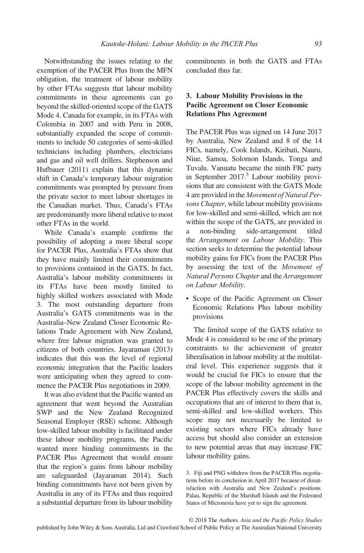Notwithstanding the issues relating to the exemption of the PACER Plus from the MFN obligation, the treatment of labour mobility by other FTAs suggests that labour mobility commitments in these agreements can go beyond the skilled-oriented scope of the GATS Mode 4. Canada for example, in its FTAs with Colombia in 2007 and with Peru in 2008, substantially expanded the scope of commitments to include 50 categories of semi-skilled technicians including plumbers, electricians and gas and oil well drillers. Stephenson and Hufbauer (2011) explain that this dynamic shift in Canada's temporary labour migration commitments was prompted by pressure from the private sector to meet labour shortages in the Canadian market. Thus, Canada's FTAs are predominantly more liberal relative to most other FTAs in the world.

While Canada's example confirms the possibility of adopting a more liberal scope for PACER Plus, Australia's FTAs show that they have mainly limited their commitments to provisions contained in the GATS. In fact, Australia's labour mobility commitments in its FTAs have been mostly limited to highly skilled workers associated with Mode 3. The most outstanding departure from Australia's GATS commitments was in the Australia–New Zealand Closer Economic Relations Trade Agreement with New Zealand, where free labour migration was granted to citizens of both countries. Jayaraman (2013) indicates that this was the level of regional economic integration that the Pacific leaders were anticipating when they agreed to commence the PACER Plus negotiations in 2009.

It was also evident that the Pacific wanted an agreement that went beyond the Australian SWP and the New Zealand Recognized Seasonal Employer (RSE) scheme. Although low-skilled labour mobility is facilitated under these labour mobility programs, the Pacific wanted more binding commitments in the PACER Plus Agreement that would ensure that the region's gains from labour mobility are safeguarded (Jayaraman 2014). Such binding commitments have not been given by Australia in any of its FTAs and thus required a substantial departure from its labour mobility

commitments in both the GATS and FTAs concluded thus far.

#### 3. Labour Mobility Provisions in the Pacific Agreement on Closer Economic Relations Plus Agreement

The PACER Plus was signed on 14 June 2017 by Australia, New Zealand and 8 of the 14 FICs, namely, Cook Islands, Kiribati, Nauru, Niue, Samoa, Solomon Islands, Tonga and Tuvalu. Vanuatu became the ninth FIC party in September 2017.<sup>3</sup> Labour mobility provisions that are consistent with the GATS Mode 4 are provided in the Movement of Natural Persons Chapter, while labour mobility provisions for low-skilled and semi-skilled, which are not within the scope of the GATS, are provided in a non-binding side-arrangement titled the Arrangement on Labour Mobility. This section seeks to determine the potential labour mobility gains for FICs from the PACER Plus by assessing the text of the Movement of Natural Persons Chapter and the Arrangement on Labour Mobility.

• Scope of the Pacific Agreement on Closer Economic Relations Plus labour mobility provisions

The limited scope of the GATS relative to Mode 4 is considered to be one of the primary constraints to the achievement of greater liberalisation in labour mobility at the multilateral level. This experience suggests that it would be crucial for FICs to ensure that the scope of the labour mobility agreement in the PACER Plus effectively covers the skills and occupations that are of interest to them that is, semi-skilled and low-skilled workers. This scope may not necessarily be limited to existing sectors where FICs already have access but should also consider an extension to new potential areas that may increase FIC labour mobility gains.

3. Fiji and PNG withdrew from the PACER Plus negotiations before its conclusion in April 2017 because of dissatisfaction with Australia and New Zealand's positions. Palau, Republic of the Marshall Islands and the Federated States of Micronesia have yet to sign the agreement.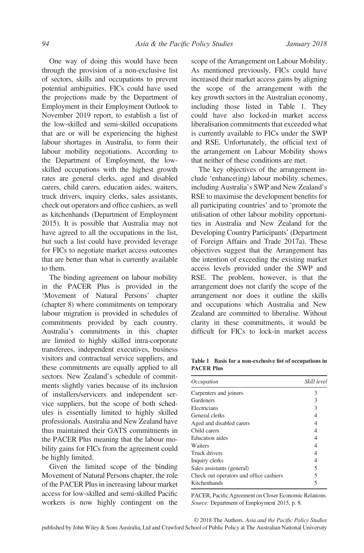One way of doing this would have been through the provision of a non-exclusive list of sectors, skills and occupations to prevent potential ambiguities. FICs could have used the projections made by the Department of Employment in their Employment Outlook to November 2019 report, to establish a list of the low-skilled and semi-skilled occupations that are or will be experiencing the highest labour shortages in Australia, to form their labour mobility negotiations. According to the Department of Employment, the lowskilled occupations with the highest growth rates are general clerks, aged and disabled carers, child carers, education aides, waiters, truck drivers, inquiry clerks, sales assistants, check out operators and office cashiers, as well as kitchenhands (Department of Employment 2015). It is possible that Australia may not have agreed to all the occupations in the list, but such a list could have provided leverage for FICs to negotiate market access outcomes that are better than what is currently available to them.

The binding agreement on labour mobility in the PACER Plus is provided in the 'Movement of Natural Persons' chapter (chapter 8) where commitments on temporary labour migration is provided in schedules of commitments provided by each country. Australia's commitments in this chapter are limited to highly skilled intra-corporate transferees, independent executives, business visitors and contractual service suppliers, and these commitments are equally applied to all sectors. New Zealand's schedule of commitments slightly varies because of its inclusion of installers/servicers and independent service suppliers, but the scope of both schedules is essentially limited to highly skilled professionals. Australia and New Zealand have thus maintained their GATS commitments in the PACER Plus meaning that the labour mobility gains for FICs from the agreement could be highly limited.

Given the limited scope of the binding Movement of Natural Persons chapter, the role of the PACER Plus in increasing labour market access for low-skilled and semi-skilled Pacific workers is now highly contingent on the scope of the Arrangement on Labour Mobility. As mentioned previously, FICs could have increased their market access gains by aligning the scope of the arrangement with the key growth sectors in the Australian economy, including those listed in Table 1. They could have also locked-in market access liberalisation commitments that exceeded what is currently available to FICs under the SWP and RSE. Unfortunately, the official text of the arrangement on Labour Mobility shows that neither of these conditions are met.

The key objectives of the arrangement include 'enhance(ing) labour mobility schemes, including Australia's SWP and New Zealand's RSE to maximise the development benefits for all participating countries' and to 'promote the utilisation of other labour mobility opportunities in Australia and New Zealand for the Developing Country Participants' (Department of Foreign Affairs and Trade 2017a). These objectives suggest that the Arrangement has the intention of exceeding the existing market access levels provided under the SWP and RSE. The problem, however, is that the arrangement does not clarify the scope of the arrangement nor does it outline the skills and occupations which Australia and New Zealand are committed to liberalise. Without clarity in these commitments, it would be difficult for FICs to lock-in market access

Table 1 Basis for a non-exclusive list of occupations in PACER Plus

| Occupation                              | Skill level |
|-----------------------------------------|-------------|
| Carpenters and joiners                  | 3           |
| Gardeners                               | 3           |
| Electricians                            | 3           |
| General clerks                          | 4           |
| Aged and disabled carers                | 4           |
| Child carers                            | 4           |
| Education aides                         | 4           |
| Waiters                                 | 4           |
| Truck drivers                           | 4           |
| Inquiry clerks                          | 4           |
| Sales assistants (general)              | 5           |
| Check out operators and office cashiers | 5           |
| Kitchenhands                            | 5           |

PACER, Pacific Agreement on Closer Economic Relations. Source: Department of Employment 2015, p. 8.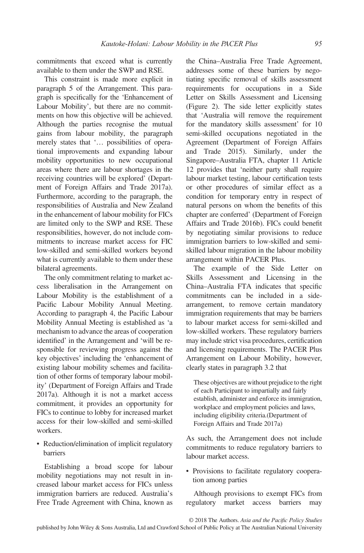commitments that exceed what is currently available to them under the SWP and RSE.

This constraint is made more explicit in paragraph 5 of the Arrangement. This paragraph is specifically for the 'Enhancement of Labour Mobility', but there are no commitments on how this objective will be achieved. Although the parties recognise the mutual gains from labour mobility, the paragraph merely states that '… possibilities of operational improvements and expanding labour mobility opportunities to new occupational areas where there are labour shortages in the receiving countries will be explored' (Department of Foreign Affairs and Trade 2017a). Furthermore, according to the paragraph, the responsibilities of Australia and New Zealand in the enhancement of labour mobility for FICs are limited only to the SWP and RSE. These responsibilities, however, do not include commitments to increase market access for FIC low-skilled and semi-skilled workers beyond what is currently available to them under these bilateral agreements.

The only commitment relating to market access liberalisation in the Arrangement on Labour Mobility is the establishment of a Pacific Labour Mobility Annual Meeting. According to paragraph 4, the Pacific Labour Mobility Annual Meeting is established as 'a mechanism to advance the areas of cooperation identified' in the Arrangement and 'will be responsible for reviewing progress against the key objectives' including the 'enhancement of existing labour mobility schemes and facilitation of other forms of temporary labour mobility' (Department of Foreign Affairs and Trade 2017a). Although it is not a market access commitment, it provides an opportunity for FICs to continue to lobby for increased market access for their low-skilled and semi-skilled workers.

• Reduction/elimination of implicit regulatory barriers

Establishing a broad scope for labour mobility negotiations may not result in increased labour market access for FICs unless immigration barriers are reduced. Australia's Free Trade Agreement with China, known as

the China–Australia Free Trade Agreement, addresses some of these barriers by negotiating specific removal of skills assessment requirements for occupations in a Side Letter on Skills Assessment and Licensing (Figure 2). The side letter explicitly states that 'Australia will remove the requirement for the mandatory skills assessment' for 10 semi-skilled occupations negotiated in the Agreement (Department of Foreign Affairs and Trade 2015). Similarly, under the Singapore–Australia FTA, chapter 11 Article 12 provides that 'neither party shall require labour market testing, labour certification tests or other procedures of similar effect as a condition for temporary entry in respect of natural persons on whom the benefits of this chapter are conferred' (Department of Foreign Affairs and Trade 2016b). FICs could benefit by negotiating similar provisions to reduce immigration barriers to low-skilled and semiskilled labour migration in the labour mobility arrangement within PACER Plus.

The example of the Side Letter on Skills Assessment and Licensing in the China–Australia FTA indicates that specific commitments can be included in a sidearrangement, to remove certain mandatory immigration requirements that may be barriers to labour market access for semi-skilled and low-skilled workers. These regulatory barriers may include strict visa procedures, certification and licensing requirements. The PACER Plus Arrangement on Labour Mobility, however, clearly states in paragraph 3.2 that

These objectives are without prejudice to the right of each Participant to impartially and fairly establish, administer and enforce its immigration, workplace and employment policies and laws, including eligibility criteria.(Department of Foreign Affairs and Trade 2017a)

As such, the Arrangement does not include commitments to reduce regulatory barriers to labour market access.

• Provisions to facilitate regulatory cooperation among parties

Although provisions to exempt FICs from regulatory market access barriers may

© 2018 The Authors. Asia and the Pacific Policy Studies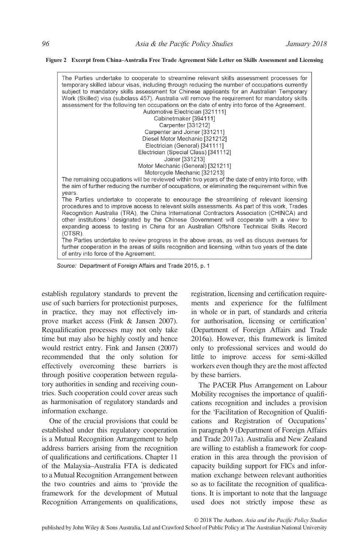#### Figure 2 Excerpt from China–Australia Free Trade Agreement Side Letter on Skills Assessment and Licensing

The Parties undertake to cooperate to streamline relevant skills assessment processes for temporary skilled labour visas, including through reducing the number of occupations currently subject to mandatory skills assessment for Chinese applicants for an Australian Temporary Work (Skilled) visa (subclass 457). Australia will remove the requirement for mandatory skills assessment for the following ten occupations on the date of entry into force of the Agreement. Automotive Electrician [321111] Cabinetmaker [394111] Carpenter [331212] Carpenter and Joiner [331211] Diesel Motor Mechanic [321212] Electrician (General) [341111] Electrician (Special Class) [341112] Joiner [331213] Motor Mechanic (General) [321211] Motorcycle Mechanic [321213] The remaining occupations will be reviewed within two years of the date of entry into force, with the aim of further reducing the number of occupations, or eliminating the requirement within five vears The Parties undertake to cooperate to encourage the streamlining of relevant licensing procedures and to improve access to relevant skills assessments. As part of this work, Trades Recognition Australia (TRA), the China International Contractors Association (CHINCA) and other institutions<sup>1</sup> designated by the Chinese Government will cooperate with a view to expanding access to testing in China for an Australian Offshore Technical Skills Record (OTSR). The Parties undertake to review progress in the above areas, as well as discuss avenues for further cooperation in the areas of skills recognition and licensing, within two years of the date of entry into force of the Agreement.

Source: Department of Foreign Affairs and Trade 2015, p. 1

establish regulatory standards to prevent the use of such barriers for protectionist purposes, in practice, they may not effectively improve market access (Fink & Jansen 2007). Requalification processes may not only take time but may also be highly costly and hence would restrict entry. Fink and Jansen (2007) recommended that the only solution for effectively overcoming these barriers is through positive cooperation between regulatory authorities in sending and receiving countries. Such cooperation could cover areas such as harmonisation of regulatory standards and information exchange.

One of the crucial provisions that could be established under this regulatory cooperation is a Mutual Recognition Arrangement to help address barriers arising from the recognition of qualifications and certifications. Chapter 11 of the Malaysia–Australia FTA is dedicated to a Mutual Recognition Arrangement between the two countries and aims to 'provide the framework for the development of Mutual Recognition Arrangements on qualifications,

registration, licensing and certification requirements and experience for the fulfilment in whole or in part, of standards and criteria for authorisation, licensing or certification' (Department of Foreign Affairs and Trade 2016a). However, this framework is limited only to professional services and would do little to improve access for semi-skilled workers even though they are the most affected by these barriers.

The PACER Plus Arrangement on Labour Mobility recognises the importance of qualifications recognition and includes a provision for the 'Facilitation of Recognition of Qualifications and Registration of Occupations' in paragraph 9 (Department of Foreign Affairs and Trade 2017a). Australia and New Zealand are willing to establish a framework for cooperation in this area through the provision of capacity building support for FICs and information exchange between relevant authorities so as to facilitate the recognition of qualifications. It is important to note that the language used does not strictly impose these as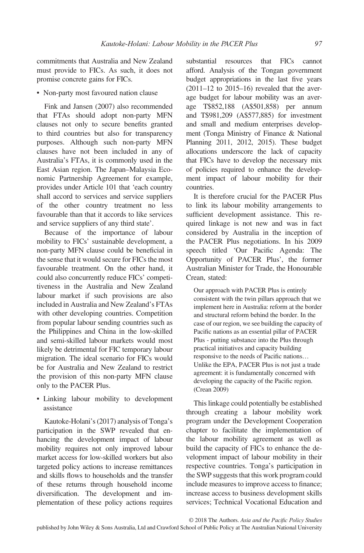commitments that Australia and New Zealand must provide to FICs. As such, it does not promise concrete gains for FICs.

• Non-party most favoured nation clause

Fink and Jansen (2007) also recommended that FTAs should adopt non-party MFN clauses not only to secure benefits granted to third countries but also for transparency purposes. Although such non-party MFN clauses have not been included in any of Australia's FTAs, it is commonly used in the East Asian region. The Japan–Malaysia Economic Partnership Agreement for example, provides under Article 101 that 'each country shall accord to services and service suppliers of the other country treatment no less favourable than that it accords to like services and service suppliers of any third state'.

Because of the importance of labour mobility to FICs' sustainable development, a non-party MFN clause could be beneficial in the sense that it would secure for FICs the most favourable treatment. On the other hand, it could also concurrently reduce FICs' competitiveness in the Australia and New Zealand labour market if such provisions are also included in Australia and New Zealand's FTAs with other developing countries. Competition from popular labour sending countries such as the Philippines and China in the low-skilled and semi-skilled labour markets would most likely be detrimental for FIC temporary labour migration. The ideal scenario for FICs would be for Australia and New Zealand to restrict the provision of this non-party MFN clause only to the PACER Plus.

• Linking labour mobility to development assistance

Kautoke-Holani's (2017) analysis of Tonga's participation in the SWP revealed that enhancing the development impact of labour mobility requires not only improved labour market access for low-skilled workers but also targeted policy actions to increase remittances and skills flows to households and the transfer of these returns through household income diversification. The development and implementation of these policy actions requires

substantial resources that FICs cannot afford. Analysis of the Tongan government budget appropriations in the last five years  $(2011-12$  to  $2015-16)$  revealed that the average budget for labour mobility was an average T\$852,188 (A\$501,858) per annum and T\$981,209 (A\$577,885) for investment and small and medium enterprises development (Tonga Ministry of Finance & National Planning 2011, 2012, 2015). These budget allocations underscore the lack of capacity that FICs have to develop the necessary mix of policies required to enhance the development impact of labour mobility for their countries.

It is therefore crucial for the PACER Plus to link its labour mobility arrangements to sufficient development assistance. This required linkage is not new and was in fact considered by Australia in the inception of the PACER Plus negotiations. In his 2009 speech titled 'Our Pacific Agenda: The Opportunity of PACER Plus', the former Australian Minister for Trade, the Honourable Crean, stated:

Our approach with PACER Plus is entirely consistent with the twin pillars approach that we implement here in Australia: reform at the border and structural reform behind the border. In the case of our region, we see building the capacity of Pacific nations as an essential pillar of PACER Plus - putting substance into the Plus through practical initiatives and capacity building responsive to the needs of Pacific nations… Unlike the EPA, PACER Plus is not just a trade agreement: it is fundamentally concerned with developing the capacity of the Pacific region. (Crean 2009)

This linkage could potentially be established through creating a labour mobility work program under the Development Cooperation chapter to facilitate the implementation of the labour mobility agreement as well as build the capacity of FICs to enhance the development impact of labour mobility in their respective countries. Tonga's participation in the SWP suggests that this work program could include measures to improve access to finance; increase access to business development skills services; Technical Vocational Education and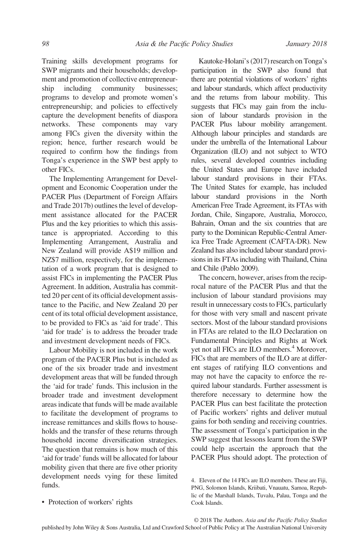Training skills development programs for SWP migrants and their households; development and promotion of collective entrepreneurship including community businesses; programs to develop and promote women's entrepreneurship; and policies to effectively capture the development benefits of diaspora networks. These components may vary among FICs given the diversity within the region; hence, further research would be required to confirm how the findings from Tonga's experience in the SWP best apply to other FICs.

The Implementing Arrangement for Development and Economic Cooperation under the PACER Plus (Department of Foreign Affairs and Trade 2017b) outlines the level of development assistance allocated for the PACER Plus and the key priorities to which this assistance is appropriated. According to this Implementing Arrangement, Australia and New Zealand will provide A\$19 million and NZ\$7 million, respectively, for the implementation of a work program that is designed to assist FICs in implementing the PACER Plus Agreement. In addition, Australia has committed 20 per cent of its official development assistance to the Pacific, and New Zealand 20 per cent of its total official development assistance, to be provided to FICs as 'aid for trade'. This 'aid for trade' is to address the broader trade and investment development needs of FICs.

Labour Mobility is not included in the work program of the PACER Plus but is included as one of the six broader trade and investment development areas that will be funded through the 'aid for trade' funds. This inclusion in the broader trade and investment development areas indicate that funds will be made available to facilitate the development of programs to increase remittances and skills flows to households and the transfer of these returns through household income diversification strategies. The question that remains is how much of this 'aid for trade' funds will be allocated for labour mobility given that there are five other priority development needs vying for these limited funds.

Kautoke-Holani's (2017) research on Tonga's participation in the SWP also found that there are potential violations of workers' rights and labour standards, which affect productivity and the returns from labour mobility. This suggests that FICs may gain from the inclusion of labour standards provision in the PACER Plus labour mobility arrangement. Although labour principles and standards are under the umbrella of the International Labour Organization (ILO) and not subject to WTO rules, several developed countries including the United States and Europe have included labour standard provisions in their FTAs. The United States for example, has included labour standard provisions in the North American Free Trade Agreement, its FTAs with Jordan, Chile, Singapore, Australia, Morocco, Bahrain, Oman and the six countries that are party to the Dominican Republic-Central America Free Trade Agreement (CAFTA-DR). New Zealand has also included labour standard provisions in its FTAs including with Thailand, China and Chile (Pablo 2009).

The concern, however, arises from the reciprocal nature of the PACER Plus and that the inclusion of labour standard provisions may result in unnecessary costs to FICs, particularly for those with very small and nascent private sectors. Most of the labour standard provisions in FTAs are related to the ILO Declaration on Fundamental Principles and Rights at Work yet not all FICs are ILO members.<sup>4</sup> Moreover, FICs that are members of the ILO are at different stages of ratifying ILO conventions and may not have the capacity to enforce the required labour standards. Further assessment is therefore necessary to determine how the PACER Plus can best facilitate the protection of Pacific workers' rights and deliver mutual gains for both sending and receiving countries. The assessment of Tonga's participation in the SWP suggest that lessons learnt from the SWP could help ascertain the approach that the PACER Plus should adopt. The protection of

• Protection of workers' rights

© 2018 The Authors. Asia and the Pacific Policy Studies

published by John Wiley & Sons Australia, Ltd and Crawford School of Public Policy at The Australian National University

<sup>4.</sup> Eleven of the 14 FICs are ILO members. These are Fiji, PNG, Solomon Islands, Kriibati, Vnauatu, Samoa, Republic of the Marshall Islands, Tuvalu, Palau, Tonga and the Cook Islands.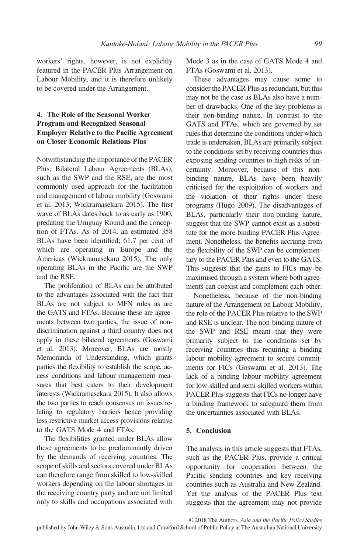workers' rights, however, is not explicitly featured in the PACER Plus Arrangement on Labour Mobility, and it is therefore unlikely to be covered under the Arrangement.

#### 4. The Role of the Seasonal Worker Program and Recognized Seasonal Employer Relative to the Pacific Agreement on Closer Economic Relations Plus

Notwithstanding the importance of the PACER Plus, Bilateral Labour Agreements (BLAs), such as the SWP and the RSE, are the most commonly used approach for the facilitation and management of labour mobility (Goswami et al. 2013; Wickramasekara 2015). The first wave of BLAs dates back to as early as 1900, predating the Uruguay Round and the conception of FTAs. As of 2014, an estimated 358 BLAs have been identified; 61.7 per cent of which are operating in Europe and the Americas (Wickramasekara 2015). The only operating BLAs in the Pacific are the SWP and the RSE.

The proliferation of BLAs can be attributed to the advantages associated with the fact that BLAs are not subject to MFN rules as are the GATS and FTAs. Because these are agreements between two parties, the issue of nondiscrimination against a third country does not apply in these bilateral agreements (Goswami et al. 2013). Moreover, BLAs are mostly Memoranda of Understanding, which grants parties the flexibility to establish the scope, access conditions and labour management measures that best caters to their development interests (Wickramasekara 2015). It also allows the two parties to reach consensus on issues relating to regulatory barriers hence providing less restrictive market access provisions relative to the GATS Mode 4 and FTAs.

The flexibilities granted under BLAs allow these agreements to be predominantly driven by the demands of receiving countries. The scope of skills and sectors covered under BLAs can therefore range from skilled to low-skilled workers depending on the labour shortages in the receiving country party and are not limited only to skills and occupations associated with

Mode 3 as in the case of GATS Mode 4 and FTAs (Goswami et al. 2013).

These advantages may cause some to consider the PACER Plus as redundant, but this may not be the case as BLAs also have a number of drawbacks. One of the key problems is their non-binding nature. In contrast to the GATS and FTAs, which are governed by set rules that determine the conditions under which trade is undertaken, BLAs are primarily subject to the conditions set by receiving countries thus exposing sending countries to high risks of uncertainty. Moreover, because of this nonbinding nature, BLAs have been heavily criticised for the exploitation of workers and the violation of their rights under these programs (Hugo 2009). The disadvantages of BLAs, particularly their non-binding nature, suggest that the SWP cannot exist as a substitute for the more binding PACER Plus Agreement. Nonetheless, the benefits accruing from the flexibility of the SWP can be complementary to the PACER Plus and even to the GATS. This suggests that the gains to FICs may be maximised through a system where both agreements can coexist and complement each other.

Nonetheless, because of the non-binding nature of the Arrangement on Labour Mobility, the role of the PACER Plus relative to the SWP and RSE is unclear. The non-binding nature of the SWP and RSE meant that they were primarily subject to the conditions set by receiving countries thus requiring a binding labour mobility agreement to secure commitments for FICs (Goswami et al. 2013). The lack of a binding labour mobility agreement for low-skilled and semi-skilled workers within PACER Plus suggests that FICs no longer have a binding framework to safeguard them from the uncertainties associated with BLAs.

#### 5. Conclusion

The analysis in this article suggests that FTAs, such as the PACER Plus, provide a critical opportunity for cooperation between the Pacific sending countries and key receiving countries such as Australia and New Zealand. Yet the analysis of the PACER Plus text suggests that the agreement may not provide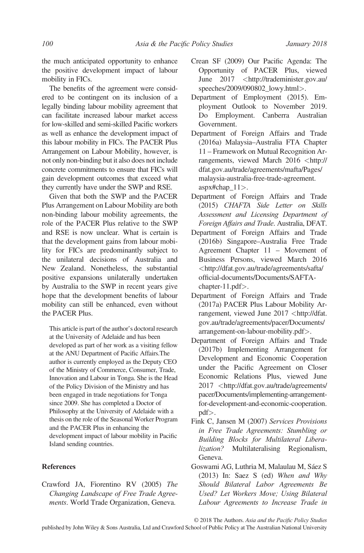the much anticipated opportunity to enhance the positive development impact of labour mobility in FICs.

The benefits of the agreement were considered to be contingent on its inclusion of a legally binding labour mobility agreement that can facilitate increased labour market access for low-skilled and semi-skilled Pacific workers as well as enhance the development impact of this labour mobility in FICs. The PACER Plus Arrangement on Labour Mobility, however, is not only non-binding but it also does not include concrete commitments to ensure that FICs will gain development outcomes that exceed what they currently have under the SWP and RSE.

Given that both the SWP and the PACER Plus Arrangement on Labour Mobility are both non-binding labour mobility agreements, the role of the PACER Plus relative to the SWP and RSE is now unclear. What is certain is that the development gains from labour mobility for FICs are predominantly subject to the unilateral decisions of Australia and New Zealand. Nonetheless, the substantial positive expansions unilaterally undertaken by Australia to the SWP in recent years give hope that the development benefits of labour mobility can still be enhanced, even without the PACER Plus.

This article is part of the author's doctoral research at the University of Adelaide and has been developed as part of her work as a visiting fellow at the ANU Department of Pacific Affairs.The author is currently employed as the Deputy CEO of the Ministry of Commerce, Consumer, Trade, Innovation and Labour in Tonga. She is the Head of the Policy Division of the Ministry and has been engaged in trade negotiations for Tonga since 2009. She has completed a Doctor of Philosophy at the University of Adelaide with a thesis on the role of the Seasonal Worker Program and the PACER Plus in enhancing the development impact of labour mobility in Pacific Island sending countries.

#### **References**

Crawford JA, Fiorentino RV (2005) The Changing Landscape of Free Trade Agreements. World Trade Organization, Geneva.

- Crean SF (2009) Our Pacific Agenda: The Opportunity of PACER Plus, viewed June 2017 <[http://trademinister.gov.au/](http://trademinister.gov.au/speeches/2009/090802_lowy.html) [speeches/2009/090802\\_lowy.html](http://trademinister.gov.au/speeches/2009/090802_lowy.html)>.
- Department of Employment (2015). Employment Outlook to November 2019. Do Employment. Canberra Australian Government.
- Department of Foreign Affairs and Trade (2016a) Malaysia–Australia FTA Chapter 11 – Framework on Mutual Recognition Arrangements, viewed March 2016 <[http://](http://dfat.gov.au/trade/agreements/mafta/Pages/malaysia-australia-free-trade-agreement.aspx#chap_11) [dfat.gov.au/trade/agreements/mafta/Pages/](http://dfat.gov.au/trade/agreements/mafta/Pages/malaysia-australia-free-trade-agreement.aspx#chap_11) [malaysia-australia-free-trade-agreement.](http://dfat.gov.au/trade/agreements/mafta/Pages/malaysia-australia-free-trade-agreement.aspx#chap_11) [aspx#chap\\_11](http://dfat.gov.au/trade/agreements/mafta/Pages/malaysia-australia-free-trade-agreement.aspx#chap_11)>.
- Department of Foreign Affairs and Trade (2015) CHAFTA Side Letter on Skills Assessment and Licensing Department of Foreign Affairs and Trade. Australia, DFAT.
- Department of Foreign Affairs and Trade (2016b) Singapore–Australia Free Trade Agreement Chapter 11 – Movement of Business Persons, viewed March 2016 <[http://dfat.gov.au/trade/agreements/safta/](http://dfat.gov.au/trade/agreements/safta/official-documents/Documents/SAFTA-chapter-11.pdf) offi[cial-documents/Documents/SAFTA](http://dfat.gov.au/trade/agreements/safta/official-documents/Documents/SAFTA-chapter-11.pdf)[chapter-11.pdf](http://dfat.gov.au/trade/agreements/safta/official-documents/Documents/SAFTA-chapter-11.pdf)>.
- Department of Foreign Affairs and Trade (2017a) PACER Plus Labour Mobility Arrangement, viewed June 2017 <[http://dfat.](http://dfat.gov.au/trade/agreements/pacer/Documents/arrangement-on-labour-mobility.pdf) [gov.au/trade/agreements/pacer/Documents/](http://dfat.gov.au/trade/agreements/pacer/Documents/arrangement-on-labour-mobility.pdf) [arrangement-on-labour-mobility.pdf](http://dfat.gov.au/trade/agreements/pacer/Documents/arrangement-on-labour-mobility.pdf)>.
- Department of Foreign Affairs and Trade (2017b) Implementing Arrangement for Development and Economic Cooperation under the Pacific Agreement on Closer Economic Relations Plus, viewed June 2017 <[http://dfat.gov.au/trade/agreements/](http://dfat.gov.au/trade/agreements/pacer/Documents/implementing-arrangement-for-development-and-economic-cooperation.pdf) [pacer/Documents/implementing-arrangement](http://dfat.gov.au/trade/agreements/pacer/Documents/implementing-arrangement-for-development-and-economic-cooperation.pdf)[for-development-and-economic-cooperation.](http://dfat.gov.au/trade/agreements/pacer/Documents/implementing-arrangement-for-development-and-economic-cooperation.pdf) [pdf](http://dfat.gov.au/trade/agreements/pacer/Documents/implementing-arrangement-for-development-and-economic-cooperation.pdf)>.
- Fink C, Jansen M (2007) Services Provisions in Free Trade Agreements: Stumbling or Building Blocks for Multilateral Liberalization? Multilateralising Regionalism, Geneva.
- Goswami AG, Luthria M, Malaulau M, Sáez S (2013) In: Saez S (ed) When and Why Should Bilateral Labor Agreements Be Used? Let Workers Move; Using Bilateral Labour Agreements to Increase Trade in

© 2018 The Authors. Asia and the Pacific Policy Studies

published by John Wiley & Sons Australia, Ltd and Crawford School of Public Policy at The Australian National University